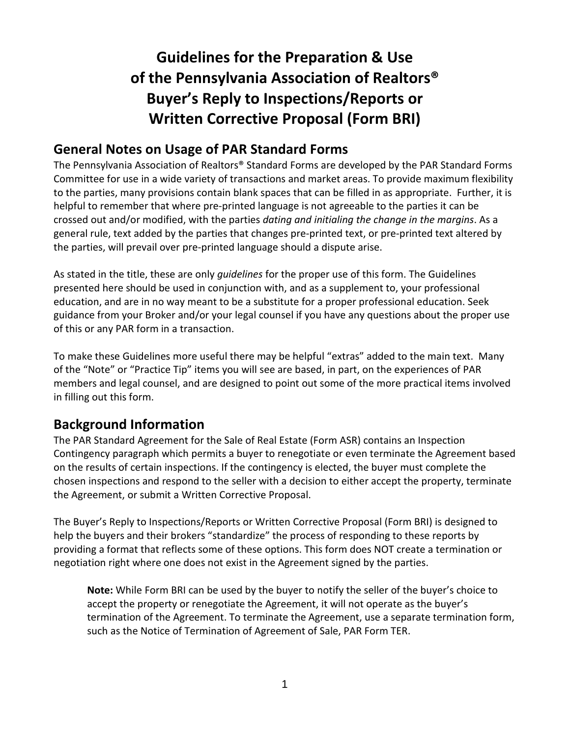# **Guidelines for the Preparation & Use of the Pennsylvania Association of Realtors® Buyer's Reply to Inspections/Reports or Written Corrective Proposal (Form BRI)**

# **General Notes on Usage of PAR Standard Forms**

The Pennsylvania Association of Realtors® Standard Forms are developed by the PAR Standard Forms Committee for use in a wide variety of transactions and market areas. To provide maximum flexibility to the parties, many provisions contain blank spaces that can be filled in as appropriate. Further, it is helpful to remember that where pre-printed language is not agreeable to the parties it can be crossed out and/or modified, with the parties *dating and initialing the change in the margins*. As a general rule, text added by the parties that changes pre-printed text, or pre-printed text altered by the parties, will prevail over pre-printed language should a dispute arise.

As stated in the title, these are only *guidelines* for the proper use of this form. The Guidelines presented here should be used in conjunction with, and as a supplement to, your professional education, and are in no way meant to be a substitute for a proper professional education. Seek guidance from your Broker and/or your legal counsel if you have any questions about the proper use of this or any PAR form in a transaction.

To make these Guidelines more useful there may be helpful "extras" added to the main text. Many of the "Note" or "Practice Tip" items you will see are based, in part, on the experiences of PAR members and legal counsel, and are designed to point out some of the more practical items involved in filling out this form.

# **Background Information**

The PAR Standard Agreement for the Sale of Real Estate (Form ASR) contains an Inspection Contingency paragraph which permits a buyer to renegotiate or even terminate the Agreement based on the results of certain inspections. If the contingency is elected, the buyer must complete the chosen inspections and respond to the seller with a decision to either accept the property, terminate the Agreement, or submit a Written Corrective Proposal.

The Buyer's Reply to Inspections/Reports or Written Corrective Proposal (Form BRI) is designed to help the buyers and their brokers "standardize" the process of responding to these reports by providing a format that reflects some of these options. This form does NOT create a termination or negotiation right where one does not exist in the Agreement signed by the parties.

**Note:** While Form BRI can be used by the buyer to notify the seller of the buyer's choice to accept the property or renegotiate the Agreement, it will not operate as the buyer's termination of the Agreement. To terminate the Agreement, use a separate termination form, such as the Notice of Termination of Agreement of Sale, PAR Form TER.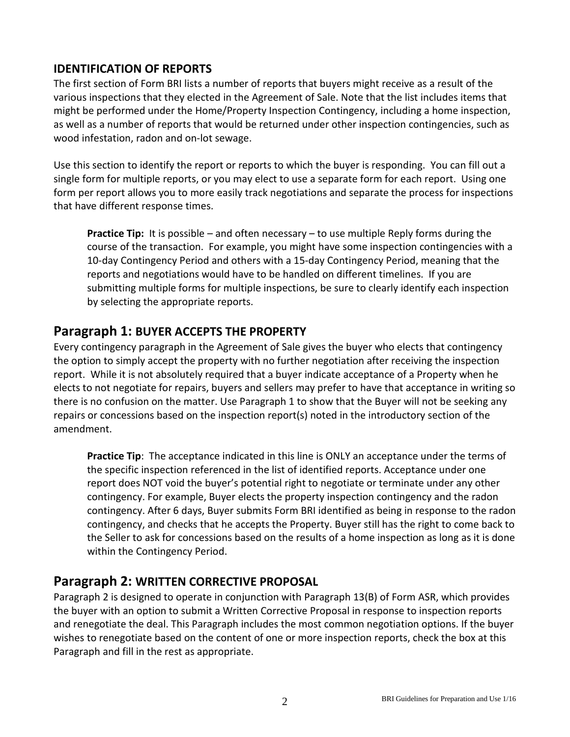### **IDENTIFICATION OF REPORTS**

The first section of Form BRI lists a number of reports that buyers might receive as a result of the various inspections that they elected in the Agreement of Sale. Note that the list includes items that might be performed under the Home/Property Inspection Contingency, including a home inspection, as well as a number of reports that would be returned under other inspection contingencies, such as wood infestation, radon and on-lot sewage.

Use this section to identify the report or reports to which the buyer is responding. You can fill out a single form for multiple reports, or you may elect to use a separate form for each report. Using one form per report allows you to more easily track negotiations and separate the process for inspections that have different response times.

**Practice Tip:** It is possible – and often necessary – to use multiple Reply forms during the course of the transaction. For example, you might have some inspection contingencies with a 10-day Contingency Period and others with a 15-day Contingency Period, meaning that the reports and negotiations would have to be handled on different timelines. If you are submitting multiple forms for multiple inspections, be sure to clearly identify each inspection by selecting the appropriate reports.

## **Paragraph 1: BUYER ACCEPTS THE PROPERTY**

Every contingency paragraph in the Agreement of Sale gives the buyer who elects that contingency the option to simply accept the property with no further negotiation after receiving the inspection report. While it is not absolutely required that a buyer indicate acceptance of a Property when he elects to not negotiate for repairs, buyers and sellers may prefer to have that acceptance in writing so there is no confusion on the matter. Use Paragraph 1 to show that the Buyer will not be seeking any repairs or concessions based on the inspection report(s) noted in the introductory section of the amendment.

**Practice Tip**: The acceptance indicated in this line is ONLY an acceptance under the terms of the specific inspection referenced in the list of identified reports. Acceptance under one report does NOT void the buyer's potential right to negotiate or terminate under any other contingency. For example, Buyer elects the property inspection contingency and the radon contingency. After 6 days, Buyer submits Form BRI identified as being in response to the radon contingency, and checks that he accepts the Property. Buyer still has the right to come back to the Seller to ask for concessions based on the results of a home inspection as long as it is done within the Contingency Period.

### **Paragraph 2: WRITTEN CORRECTIVE PROPOSAL**

Paragraph 2 is designed to operate in conjunction with Paragraph 13(B) of Form ASR, which provides the buyer with an option to submit a Written Corrective Proposal in response to inspection reports and renegotiate the deal. This Paragraph includes the most common negotiation options. If the buyer wishes to renegotiate based on the content of one or more inspection reports, check the box at this Paragraph and fill in the rest as appropriate.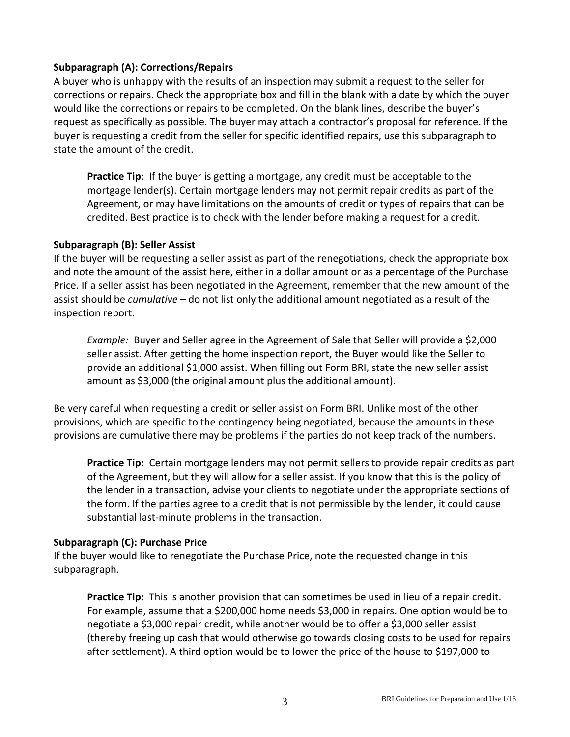#### **Subparagraph (A): Corrections/Repairs**

A buyer who is unhappy with the results of an inspection may submit a request to the seller for corrections or repairs. Check the appropriate box and fill in the blank with a date by which the buyer would like the corrections or repairs to be completed. On the blank lines, describe the buyer's request as specifically as possible. The buyer may attach a contractor's proposal for reference. If the buyer is requesting a credit from the seller for specific identified repairs, use this subparagraph to state the amount of the credit.

**Practice Tip**: If the buyer is getting a mortgage, any credit must be acceptable to the mortgage lender(s). Certain mortgage lenders may not permit repair credits as part of the Agreement, or may have limitations on the amounts of credit or types of repairs that can be credited. Best practice is to check with the lender before making a request for a credit.

#### **Subparagraph (B): Seller Assist**

If the buyer will be requesting a seller assist as part of the renegotiations, check the appropriate box and note the amount of the assist here, either in a dollar amount or as a percentage of the Purchase Price. If a seller assist has been negotiated in the Agreement, remember that the new amount of the assist should be *cumulative* – do not list only the additional amount negotiated as a result of the inspection report.

*Example:* Buyer and Seller agree in the Agreement of Sale that Seller will provide a \$2,000 seller assist. After getting the home inspection report, the Buyer would like the Seller to provide an additional \$1,000 assist. When filling out Form BRI, state the new seller assist amount as \$3,000 (the original amount plus the additional amount).

Be very careful when requesting a credit or seller assist on Form BRI. Unlike most of the other provisions, which are specific to the contingency being negotiated, because the amounts in these provisions are cumulative there may be problems if the parties do not keep track of the numbers.

**Practice Tip:** Certain mortgage lenders may not permit sellers to provide repair credits as part of the Agreement, but they will allow for a seller assist. If you know that this is the policy of the lender in a transaction, advise your clients to negotiate under the appropriate sections of the form. If the parties agree to a credit that is not permissible by the lender, it could cause substantial last-minute problems in the transaction.

#### **Subparagraph (C): Purchase Price**

If the buyer would like to renegotiate the Purchase Price, note the requested change in this subparagraph.

**Practice Tip:** This is another provision that can sometimes be used in lieu of a repair credit. For example, assume that a \$200,000 home needs \$3,000 in repairs. One option would be to negotiate a \$3,000 repair credit, while another would be to offer a \$3,000 seller assist (thereby freeing up cash that would otherwise go towards closing costs to be used for repairs after settlement). A third option would be to lower the price of the house to \$197,000 to